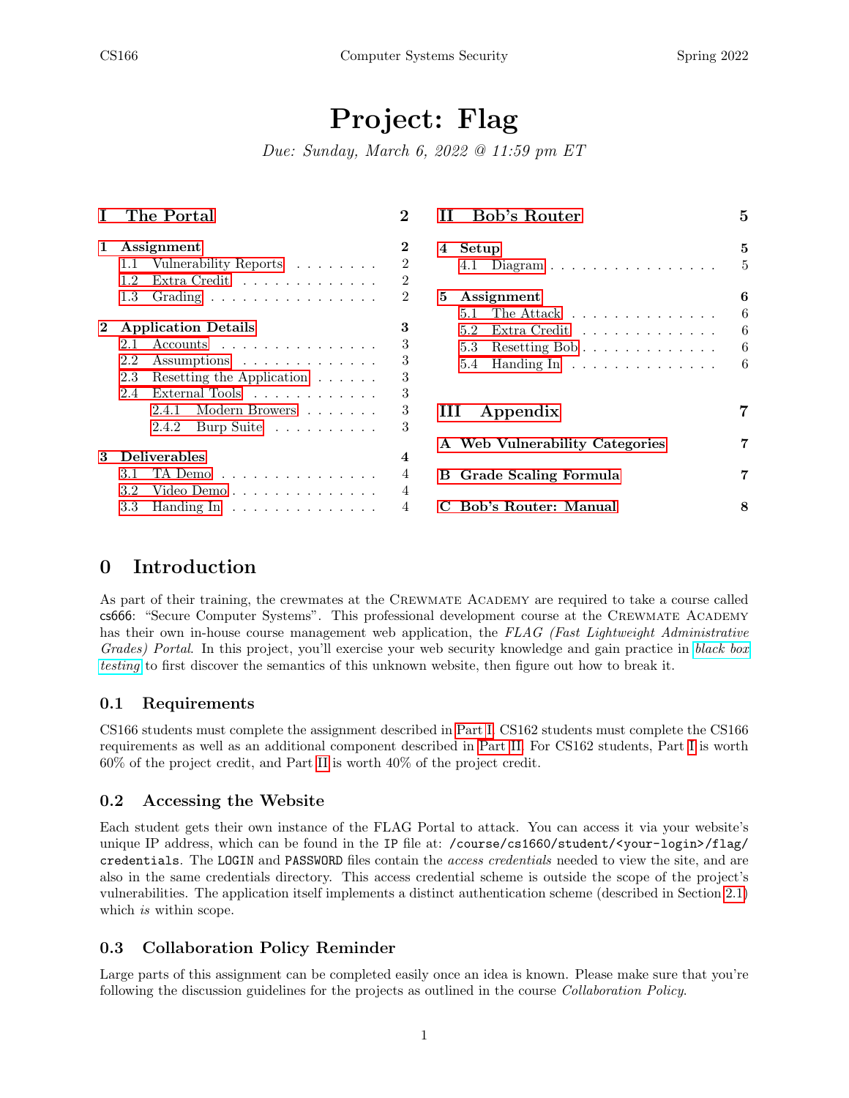# Project: Flag

Due: Sunday, March 6, 2022 @ 11:59 pm ET

| T            | The Portal                                                                                                                                                | $\mathbf 2$           | Bob's Router                                                                                                                                                                              | 5           |
|--------------|-----------------------------------------------------------------------------------------------------------------------------------------------------------|-----------------------|-------------------------------------------------------------------------------------------------------------------------------------------------------------------------------------------|-------------|
| 1            | Assignment<br>Vulnerability Reports $\ldots \ldots$<br>$1.1\,$<br>Extra Credit<br>1.2<br>1.3<br>Grading $\ldots \ldots \ldots \ldots \ldots$              | 2<br>2<br>2<br>2      | Setup<br>4<br>Diagram $\ldots \ldots \ldots \ldots \ldots$<br>4.1<br>5<br>Assignment<br>The Attack $\dots \dots \dots \dots \dots$<br>5.1                                                 | 5<br>6<br>6 |
| $\mathbf{2}$ | <b>Application Details</b><br>$\text{Accounds}$<br>2.1<br>2.2<br>Assumptions<br>Resetting the Application $\ldots \ldots$<br>2.3<br>External Tools<br>2.4 | 3<br>3<br>3<br>3<br>3 | Extra Credit $\ldots \ldots \ldots \ldots$<br>5.2<br>5.3<br>Resetting Bob $\ldots \ldots \ldots \ldots$<br>Handing $\text{In} \quad \ldots \quad \ldots \quad \ldots \quad \ldots$<br>5.4 | 6<br>6<br>6 |
|              | Modern Browers<br>2.4.1<br>2.4.2<br>Burp Suite                                                                                                            | 3<br>3                | Ш<br>Appendix                                                                                                                                                                             | 7           |
| 3            | <b>Deliverables</b><br>TA Demo<br>3.1<br>Video Demo<br>3.2                                                                                                | 4<br>4                | A Web Vulnerability Categories<br><b>B</b> Grade Scaling Formula                                                                                                                          | 7           |
|              | 3.3<br>Handing $\ln \ldots \ldots \ldots \ldots$                                                                                                          | 4                     | <b>Bob's Router: Manual</b>                                                                                                                                                               | 8           |

## 0 Introduction

As part of their training, the crewmates at the CREWMATE ACADEMY are required to take a course called cs666: "Secure Computer Systems". This professional development course at the Crewmate Academy has their own in-house course management web application, the FLAG (Fast Lightweight Administrative Grades) Portal. In this project, you'll exercise your web security knowledge and gain practice in [black box](https://en.wikipedia.org/wiki/Black_box) [testing](https://en.wikipedia.org/wiki/Black_box) to first discover the semantics of this unknown website, then figure out how to break it.

#### 0.1 Requirements

CS166 students must complete the assignment described in [Part I.](#page-1-0) CS162 students must complete the CS166 requirements as well as an additional component described in [Part II.](#page-4-0) For CS162 students, Part [I](#page-1-0) is worth 60% of the project credit, and Part [II](#page-4-0) is worth 40% of the project credit.

#### 0.2 Accessing the Website

Each student gets their own instance of the FLAG Portal to attack. You can access it via your website's unique IP address, which can be found in the IP file at: /course/cs1660/student/<your-login>/flag/ credentials. The LOGIN and PASSWORD files contain the access credentials needed to view the site, and are also in the same credentials directory. This access credential scheme is outside the scope of the project's vulnerabilities. The application itself implements a distinct authentication scheme (described in Section [2.1\)](#page-2-1) which *is* within scope.

#### 0.3 Collaboration Policy Reminder

Large parts of this assignment can be completed easily once an idea is known. Please make sure that you're following the discussion guidelines for the projects as outlined in the course Collaboration Policy.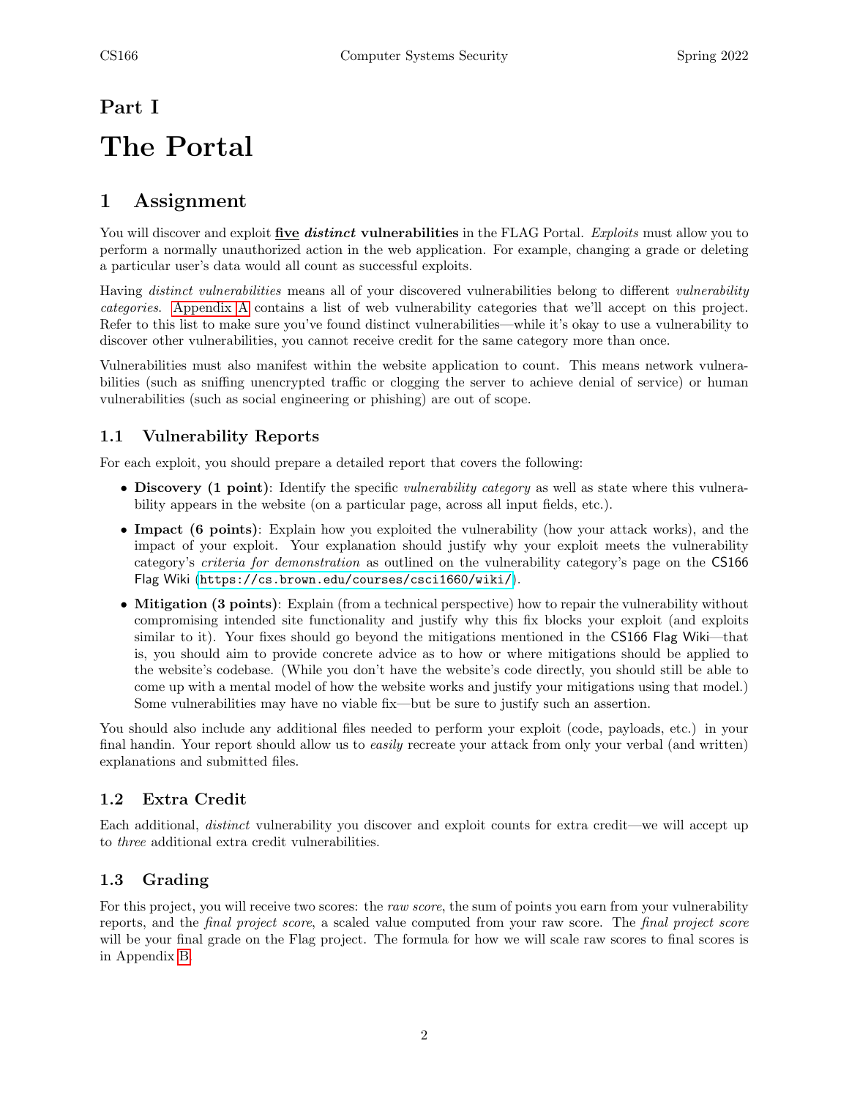# <span id="page-1-0"></span>Part I The Portal

# <span id="page-1-1"></span>1 Assignment

You will discover and exploit five *distinct* vulnerabilities in the FLAG Portal. *Exploits* must allow you to perform a normally unauthorized action in the web application. For example, changing a grade or deleting a particular user's data would all count as successful exploits.

Having distinct vulnerabilities means all of your discovered vulnerabilities belong to different vulnerability categories. [Appendix A](#page-6-1) contains a list of web vulnerability categories that we'll accept on this project. Refer to this list to make sure you've found distinct vulnerabilities—while it's okay to use a vulnerability to discover other vulnerabilities, you cannot receive credit for the same category more than once.

Vulnerabilities must also manifest within the website application to count. This means network vulnerabilities (such as sniffing unencrypted traffic or clogging the server to achieve denial of service) or human vulnerabilities (such as social engineering or phishing) are out of scope.

## <span id="page-1-2"></span>1.1 Vulnerability Reports

For each exploit, you should prepare a detailed report that covers the following:

- Discovery (1 point): Identify the specific *vulnerability category* as well as state where this vulnerability appears in the website (on a particular page, across all input fields, etc.).
- Impact (6 points): Explain how you exploited the vulnerability (how your attack works), and the impact of your exploit. Your explanation should justify why your exploit meets the vulnerability category's criteria for demonstration as outlined on the vulnerability category's page on the CS166 Flag Wiki (<https://cs.brown.edu/courses/csci1660/wiki/>).
- Mitigation (3 points): Explain (from a technical perspective) how to repair the vulnerability without compromising intended site functionality and justify why this fix blocks your exploit (and exploits similar to it). Your fixes should go beyond the mitigations mentioned in the CS166 Flag Wiki—that is, you should aim to provide concrete advice as to how or where mitigations should be applied to the website's codebase. (While you don't have the website's code directly, you should still be able to come up with a mental model of how the website works and justify your mitigations using that model.) Some vulnerabilities may have no viable fix—but be sure to justify such an assertion.

You should also include any additional files needed to perform your exploit (code, payloads, etc.) in your final handin. Your report should allow us to easily recreate your attack from only your verbal (and written) explanations and submitted files.

## <span id="page-1-3"></span>1.2 Extra Credit

Each additional, distinct vulnerability you discover and exploit counts for extra credit—we will accept up to three additional extra credit vulnerabilities.

## <span id="page-1-4"></span>1.3 Grading

For this project, you will receive two scores: the *raw score*, the sum of points you earn from your vulnerability reports, and the final project score, a scaled value computed from your raw score. The final project score will be your final grade on the Flag project. The formula for how we will scale raw scores to final scores is in Appendix [B.](#page-6-2)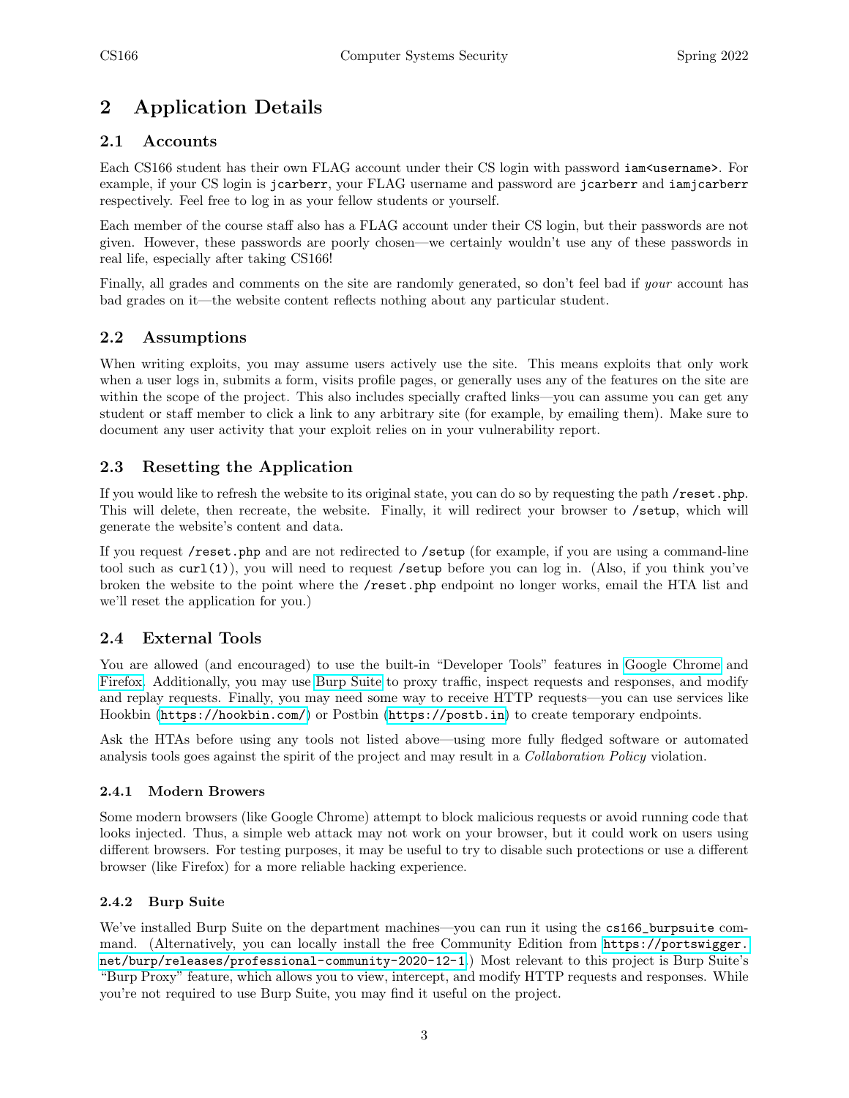# <span id="page-2-0"></span>2 Application Details

### <span id="page-2-1"></span>2.1 Accounts

Each CS166 student has their own FLAG account under their CS login with password iam<username>. For example, if your CS login is jcarberr, your FLAG username and password are jcarberr and iamjcarberr respectively. Feel free to log in as your fellow students or yourself.

Each member of the course staff also has a FLAG account under their CS login, but their passwords are not given. However, these passwords are poorly chosen—we certainly wouldn't use any of these passwords in real life, especially after taking CS166!

Finally, all grades and comments on the site are randomly generated, so don't feel bad if your account has bad grades on it—the website content reflects nothing about any particular student.

#### <span id="page-2-2"></span>2.2 Assumptions

When writing exploits, you may assume users actively use the site. This means exploits that only work when a user logs in, submits a form, visits profile pages, or generally uses any of the features on the site are within the scope of the project. This also includes specially crafted links—you can assume you can get any student or staff member to click a link to any arbitrary site (for example, by emailing them). Make sure to document any user activity that your exploit relies on in your vulnerability report.

### <span id="page-2-3"></span>2.3 Resetting the Application

If you would like to refresh the website to its original state, you can do so by requesting the path /reset.php. This will delete, then recreate, the website. Finally, it will redirect your browser to /setup, which will generate the website's content and data.

If you request /reset.php and are not redirected to /setup (for example, if you are using a command-line tool such as curl(1)), you will need to request /setup before you can log in. (Also, if you think you've broken the website to the point where the /reset.php endpoint no longer works, email the HTA list and we'll reset the application for you.)

#### <span id="page-2-4"></span>2.4 External Tools

You are allowed (and encouraged) to use the built-in "Developer Tools" features in [Google Chrome](https://developers.google.com/web/tools/chrome-devtools) and [Firefox.](https://developer.mozilla.org/en-US/docs/Tools) Additionally, you may use [Burp Suite](https://portswigger.net/burp) to proxy traffic, inspect requests and responses, and modify and replay requests. Finally, you may need some way to receive HTTP requests—you can use services like Hookbin (<https://hookbin.com/>) or Postbin (<https://postb.in>) to create temporary endpoints.

Ask the HTAs before using any tools not listed above—using more fully fledged software or automated analysis tools goes against the spirit of the project and may result in a Collaboration Policy violation.

#### <span id="page-2-5"></span>2.4.1 Modern Browers

Some modern browsers (like Google Chrome) attempt to block malicious requests or avoid running code that looks injected. Thus, a simple web attack may not work on your browser, but it could work on users using different browsers. For testing purposes, it may be useful to try to disable such protections or use a different browser (like Firefox) for a more reliable hacking experience.

#### <span id="page-2-6"></span>2.4.2 Burp Suite

We've installed Burp Suite on the department machines—you can run it using the cs166\_burpsuite command. (Alternatively, you can locally install the free Community Edition from [https://portswigger.](https://portswigger.net/burp/releases/professional-community-2020-12-1) [net/burp/releases/professional-community-2020-12-1](https://portswigger.net/burp/releases/professional-community-2020-12-1).) Most relevant to this project is Burp Suite's "Burp Proxy" feature, which allows you to view, intercept, and modify HTTP requests and responses. While you're not required to use Burp Suite, you may find it useful on the project.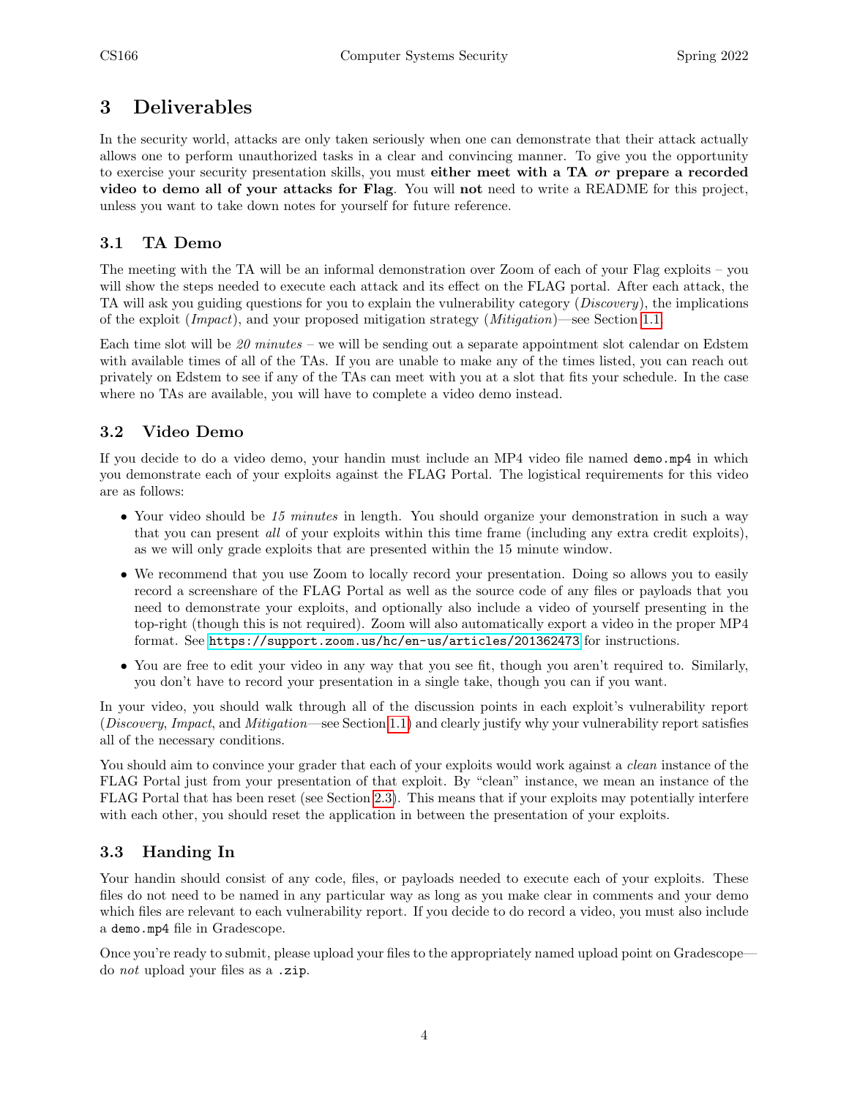## <span id="page-3-0"></span>3 Deliverables

In the security world, attacks are only taken seriously when one can demonstrate that their attack actually allows one to perform unauthorized tasks in a clear and convincing manner. To give you the opportunity to exercise your security presentation skills, you must either meet with a TA *or* prepare a recorded video to demo all of your attacks for Flag. You will not need to write a README for this project, unless you want to take down notes for yourself for future reference.

## <span id="page-3-1"></span>3.1 TA Demo

The meeting with the TA will be an informal demonstration over Zoom of each of your Flag exploits – you will show the steps needed to execute each attack and its effect on the FLAG portal. After each attack, the TA will ask you guiding questions for you to explain the vulnerability category (Discovery), the implications of the exploit (Impact), and your proposed mitigation strategy (Mitigation)—see Section [1.1.](#page-1-2)

Each time slot will be  $20$  minutes – we will be sending out a separate appointment slot calendar on Edstem with available times of all of the TAs. If you are unable to make any of the times listed, you can reach out privately on Edstem to see if any of the TAs can meet with you at a slot that fits your schedule. In the case where no TAs are available, you will have to complete a video demo instead.

## <span id="page-3-2"></span>3.2 Video Demo

If you decide to do a video demo, your handin must include an MP4 video file named demo.mp4 in which you demonstrate each of your exploits against the FLAG Portal. The logistical requirements for this video are as follows:

- Your video should be 15 minutes in length. You should organize your demonstration in such a way that you can present all of your exploits within this time frame (including any extra credit exploits), as we will only grade exploits that are presented within the 15 minute window.
- We recommend that you use Zoom to locally record your presentation. Doing so allows you to easily record a screenshare of the FLAG Portal as well as the source code of any files or payloads that you need to demonstrate your exploits, and optionally also include a video of yourself presenting in the top-right (though this is not required). Zoom will also automatically export a video in the proper MP4 format. See <https://support.zoom.us/hc/en-us/articles/201362473> for instructions.
- You are free to edit your video in any way that you see fit, though you aren't required to. Similarly, you don't have to record your presentation in a single take, though you can if you want.

In your video, you should walk through all of the discussion points in each exploit's vulnerability report (Discovery, Impact, and Mitigation—see Section [1.1\)](#page-1-2) and clearly justify why your vulnerability report satisfies all of the necessary conditions.

You should aim to convince your grader that each of your exploits would work against a *clean* instance of the FLAG Portal just from your presentation of that exploit. By "clean" instance, we mean an instance of the FLAG Portal that has been reset (see Section [2.3\)](#page-2-3). This means that if your exploits may potentially interfere with each other, you should reset the application in between the presentation of your exploits.

## <span id="page-3-3"></span>3.3 Handing In

Your handin should consist of any code, files, or payloads needed to execute each of your exploits. These files do not need to be named in any particular way as long as you make clear in comments and your demo which files are relevant to each vulnerability report. If you decide to do record a video, you must also include a demo.mp4 file in Gradescope.

Once you're ready to submit, please upload your files to the appropriately named upload point on Gradescope do not upload your files as a .zip.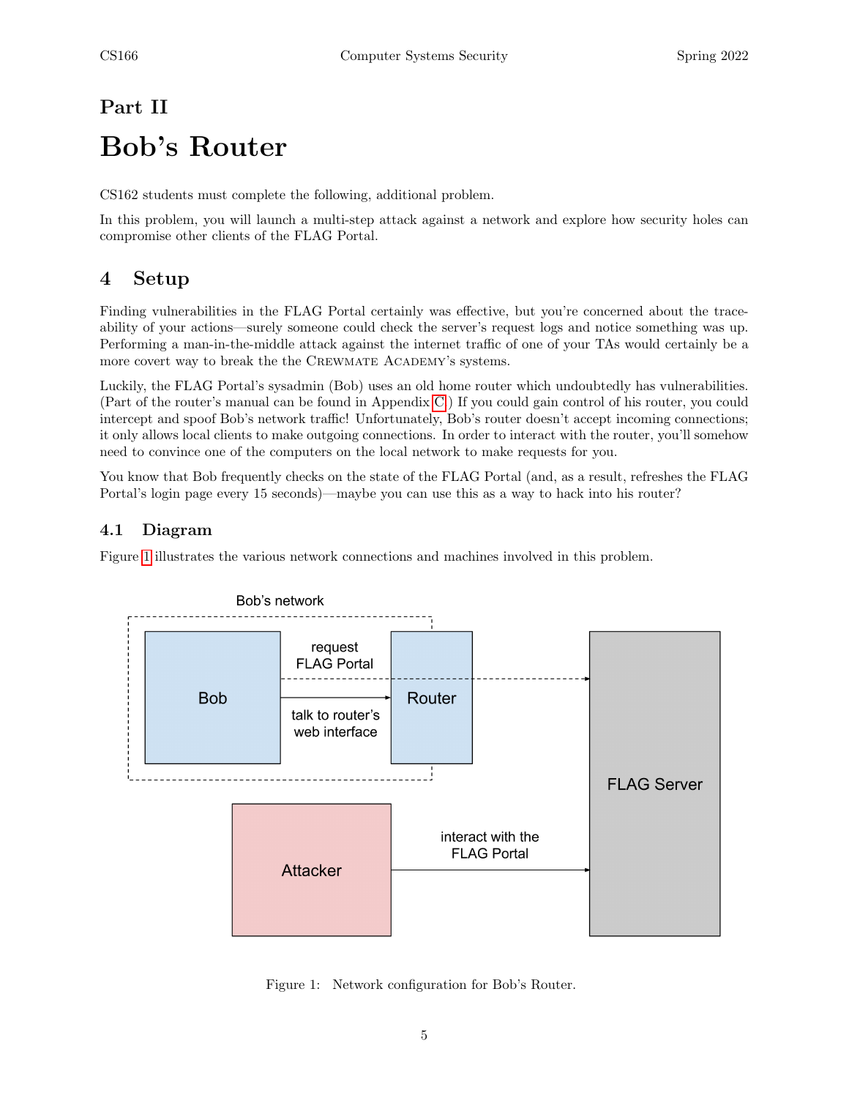# <span id="page-4-0"></span>Part II Bob's Router

CS162 students must complete the following, additional problem.

In this problem, you will launch a multi-step attack against a network and explore how security holes can compromise other clients of the FLAG Portal.

# <span id="page-4-1"></span>4 Setup

Finding vulnerabilities in the FLAG Portal certainly was effective, but you're concerned about the traceability of your actions—surely someone could check the server's request logs and notice something was up. Performing a man-in-the-middle attack against the internet traffic of one of your TAs would certainly be a more covert way to break the the CREWMATE ACADEMY's systems.

Luckily, the FLAG Portal's sysadmin (Bob) uses an old home router which undoubtedly has vulnerabilities. (Part of the router's manual can be found in Appendix [C.](#page-7-0)) If you could gain control of his router, you could intercept and spoof Bob's network traffic! Unfortunately, Bob's router doesn't accept incoming connections; it only allows local clients to make outgoing connections. In order to interact with the router, you'll somehow need to convince one of the computers on the local network to make requests for you.

You know that Bob frequently checks on the state of the FLAG Portal (and, as a result, refreshes the FLAG Portal's login page every 15 seconds)—maybe you can use this as a way to hack into his router?

## <span id="page-4-2"></span>4.1 Diagram

Figure [1](#page-4-3) illustrates the various network connections and machines involved in this problem.



<span id="page-4-3"></span>Figure 1: Network configuration for Bob's Router.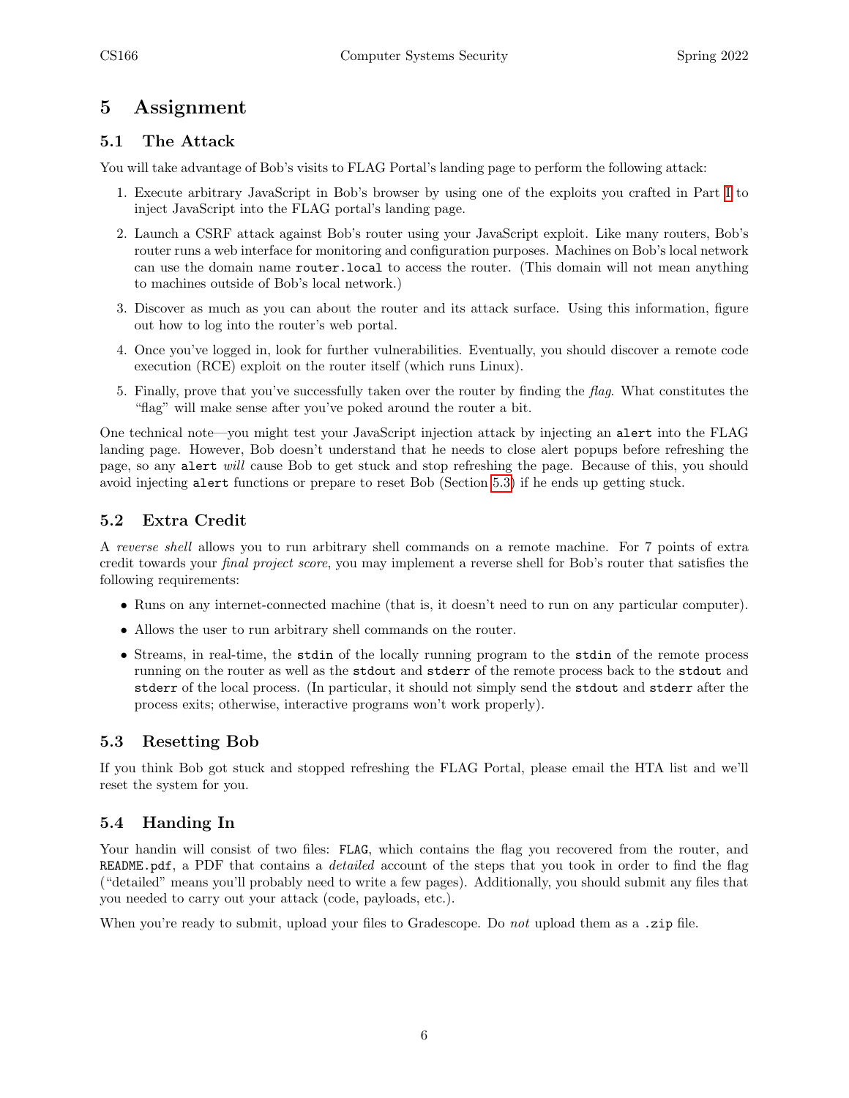## <span id="page-5-0"></span>5 Assignment

### <span id="page-5-1"></span>5.1 The Attack

You will take advantage of Bob's visits to FLAG Portal's landing page to perform the following attack:

- 1. Execute arbitrary JavaScript in Bob's browser by using one of the exploits you crafted in Part [I](#page-1-0) to inject JavaScript into the FLAG portal's landing page.
- 2. Launch a CSRF attack against Bob's router using your JavaScript exploit. Like many routers, Bob's router runs a web interface for monitoring and configuration purposes. Machines on Bob's local network can use the domain name router.local to access the router. (This domain will not mean anything to machines outside of Bob's local network.)
- 3. Discover as much as you can about the router and its attack surface. Using this information, figure out how to log into the router's web portal.
- 4. Once you've logged in, look for further vulnerabilities. Eventually, you should discover a remote code execution (RCE) exploit on the router itself (which runs Linux).
- 5. Finally, prove that you've successfully taken over the router by finding the flag. What constitutes the "flag" will make sense after you've poked around the router a bit.

One technical note—you might test your JavaScript injection attack by injecting an alert into the FLAG landing page. However, Bob doesn't understand that he needs to close alert popups before refreshing the page, so any alert will cause Bob to get stuck and stop refreshing the page. Because of this, you should avoid injecting alert functions or prepare to reset Bob (Section [5.3\)](#page-5-3) if he ends up getting stuck.

### <span id="page-5-2"></span>5.2 Extra Credit

A reverse shell allows you to run arbitrary shell commands on a remote machine. For 7 points of extra credit towards your final project score, you may implement a reverse shell for Bob's router that satisfies the following requirements:

- Runs on any internet-connected machine (that is, it doesn't need to run on any particular computer).
- Allows the user to run arbitrary shell commands on the router.
- Streams, in real-time, the stdin of the locally running program to the stdin of the remote process running on the router as well as the stdout and stderr of the remote process back to the stdout and stderr of the local process. (In particular, it should not simply send the stdout and stderr after the process exits; otherwise, interactive programs won't work properly).

#### <span id="page-5-3"></span>5.3 Resetting Bob

If you think Bob got stuck and stopped refreshing the FLAG Portal, please email the HTA list and we'll reset the system for you.

## <span id="page-5-4"></span>5.4 Handing In

Your handin will consist of two files: FLAG, which contains the flag you recovered from the router, and README.pdf, a PDF that contains a *detailed* account of the steps that you took in order to find the flag ("detailed" means you'll probably need to write a few pages). Additionally, you should submit any files that you needed to carry out your attack (code, payloads, etc.).

When you're ready to submit, upload your files to Gradescope. Do not upload them as a .zip file.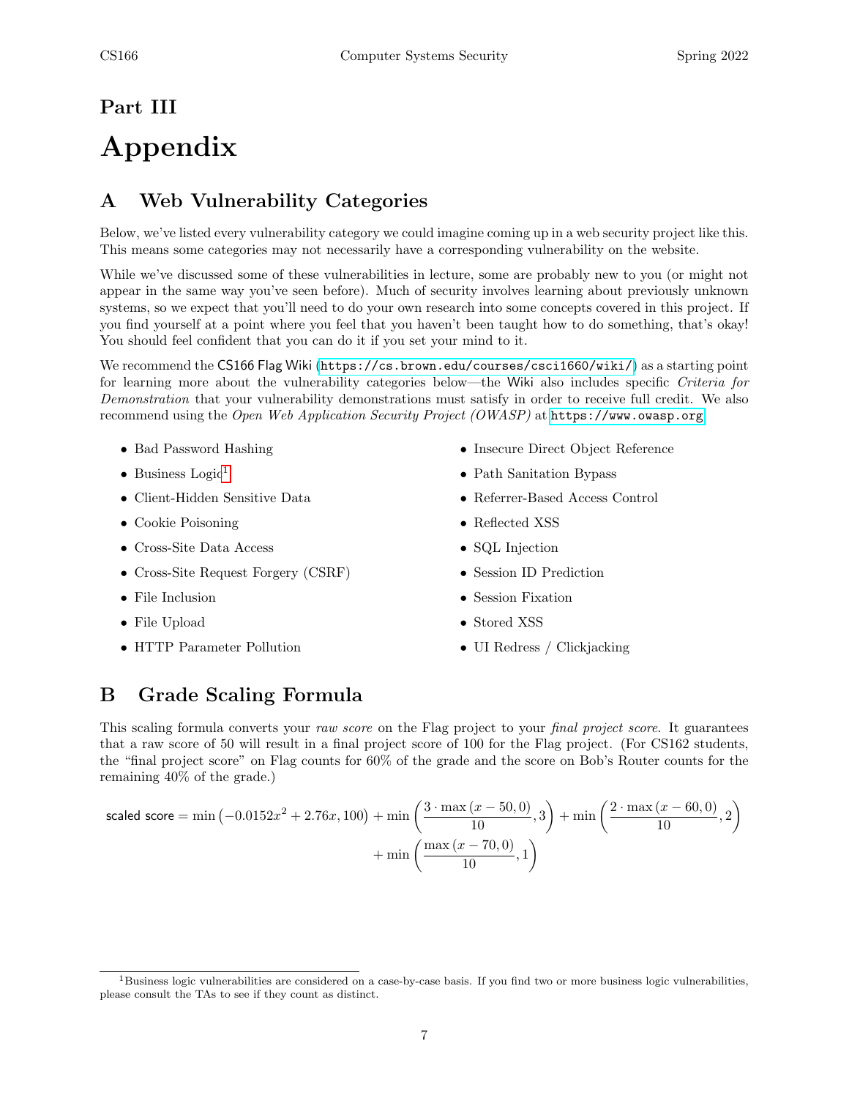# <span id="page-6-0"></span>Part III Appendix

# <span id="page-6-1"></span>A Web Vulnerability Categories

Below, we've listed every vulnerability category we could imagine coming up in a web security project like this. This means some categories may not necessarily have a corresponding vulnerability on the website.

While we've discussed some of these vulnerabilities in lecture, some are probably new to you (or might not appear in the same way you've seen before). Much of security involves learning about previously unknown systems, so we expect that you'll need to do your own research into some concepts covered in this project. If you find yourself at a point where you feel that you haven't been taught how to do something, that's okay! You should feel confident that you can do it if you set your mind to it.

We recommend the CS166 Flag Wiki (<https://cs.brown.edu/courses/csci1660/wiki/>) as a starting point for learning more about the vulnerability categories below—the Wiki also includes specific Criteria for Demonstration that your vulnerability demonstrations must satisfy in order to receive full credit. We also recommend using the Open Web Application Security Project (OWASP) at <https://www.owasp.org>.

- Bad Password Hashing
- Business Logic<sup>[1](#page-6-3)</sup>
- Client-Hidden Sensitive Data
- Cookie Poisoning
- Cross-Site Data Access
- Cross-Site Request Forgery (CSRF)
- File Inclusion
- File Upload
- HTTP Parameter Pollution
- Insecure Direct Object Reference
- Path Sanitation Bypass
- Referrer-Based Access Control
- Reflected XSS
- SQL Injection
- Session ID Prediction
- Session Fixation
- Stored XSS
- UI Redress / Clickjacking

# <span id="page-6-2"></span>B Grade Scaling Formula

This scaling formula converts your raw score on the Flag project to your final project score. It guarantees that a raw score of 50 will result in a final project score of 100 for the Flag project. (For CS162 students, the "final project score" on Flag counts for 60% of the grade and the score on Bob's Router counts for the remaining 40% of the grade.)

scaled score = min (-0.0152
$$
x^2
$$
 + 2.76 $x$ , 100) + min  $\left(\frac{3 \cdot \max(x - 50, 0)}{10}, 3\right)$  + min  $\left(\frac{2 \cdot \max(x - 60, 0)}{10}, 2\right)$   
+ min  $\left(\frac{\max(x - 70, 0)}{10}, 1\right)$ 

<span id="page-6-3"></span> $1B$ usiness logic vulnerabilities are considered on a case-by-case basis. If you find two or more business logic vulnerabilities, please consult the TAs to see if they count as distinct.